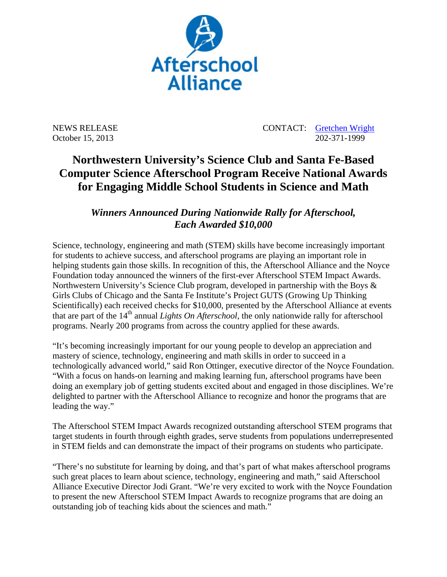

NEWS RELEASE CONTACT: Gretchen Wright October 15, 2013 202-371-1999

## **Northwestern University's Science Club and Santa Fe-Based Computer Science Afterschool Program Receive National Awards for Engaging Middle School Students in Science and Math**

## *Winners Announced During Nationwide Rally for Afterschool, Each Awarded \$10,000*

Science, technology, engineering and math (STEM) skills have become increasingly important for students to achieve success, and afterschool programs are playing an important role in helping students gain those skills. In recognition of this, the Afterschool Alliance and the Noyce Foundation today announced the winners of the first-ever Afterschool STEM Impact Awards. Northwestern University's Science Club program, developed in partnership with the Boys & Girls Clubs of Chicago and the Santa Fe Institute's Project GUTS (Growing Up Thinking Scientifically) each received checks for \$10,000, presented by the Afterschool Alliance at events that are part of the 14<sup>th</sup> annual *Lights On Afterschool*, the only nationwide rally for afterschool programs. Nearly 200 programs from across the country applied for these awards.

"It's becoming increasingly important for our young people to develop an appreciation and mastery of science, technology, engineering and math skills in order to succeed in a technologically advanced world," said Ron Ottinger, executive director of the Noyce Foundation. "With a focus on hands-on learning and making learning fun, afterschool programs have been doing an exemplary job of getting students excited about and engaged in those disciplines. We're delighted to partner with the Afterschool Alliance to recognize and honor the programs that are leading the way."

The Afterschool STEM Impact Awards recognized outstanding afterschool STEM programs that target students in fourth through eighth grades, serve students from populations underrepresented in STEM fields and can demonstrate the impact of their programs on students who participate.

"There's no substitute for learning by doing, and that's part of what makes afterschool programs such great places to learn about science, technology, engineering and math," said Afterschool Alliance Executive Director Jodi Grant. "We're very excited to work with the Noyce Foundation to present the new Afterschool STEM Impact Awards to recognize programs that are doing an outstanding job of teaching kids about the sciences and math."